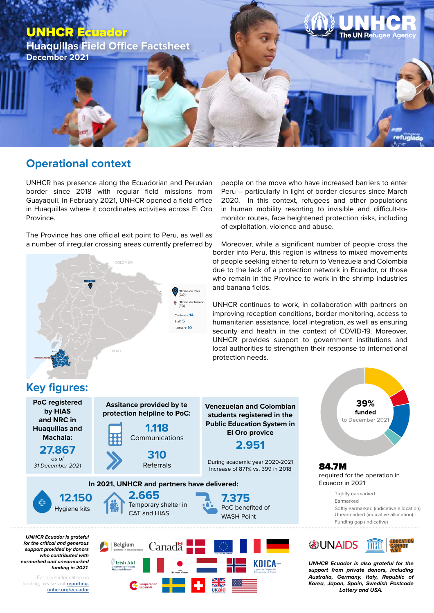

## **Operational context**

UNHCR has presence along the Ecuadorian and Peruvian border since 2018 with regular field missions from Guayaquil. In February 2021, UNHCR opened a field office in Huaquillas where it coordinates activities across El Oro Province.

The Province has one official exit point to Peru, as well as a number of irregular crossing areas currently preferred by



*for the critical and generous who contributed with earmarked and unearmarked* 

For more information on funding, please visit **reporting. unhcr.org/ecuador**



people on the move who have increased barriers to enter Peru – particularly in light of border closures since March 2020. In this context, refugees and other populations in human mobility resorting to invisible and difficult-tomonitor routes, face heightened protection risks, including of exploitation, violence and abuse.

Moreover, while a significant number of people cross the border into Peru, this region is witness to mixed movements of people seeking either to return to Venezuela and Colombia due to the lack of a protection network in Ecuador, or those who remain in the Province to work in the shrimp industries and banana fields.

UNHCR continues to work, in collaboration with partners on improving reception conditions, border monitoring, access to humanitarian assistance, local integration, as well as ensuring security and health in the context of COVID-19. Moreover, UNHCR provides support to government institutions and local authorities to strengthen their response to international protection needs.

*Lottery and USA.*